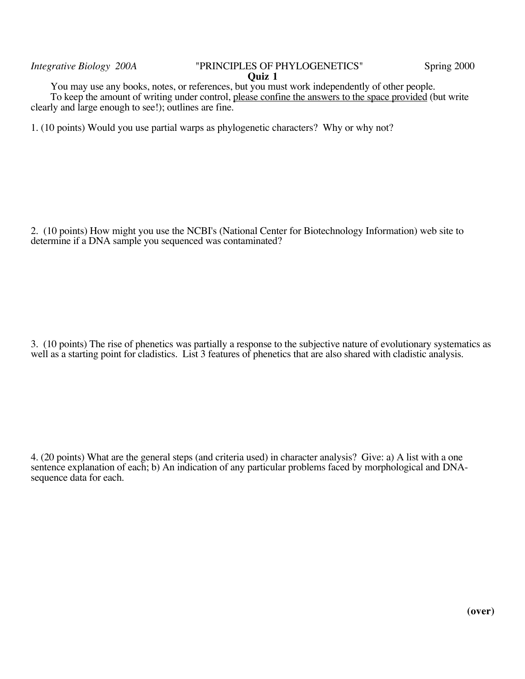You may use any books, notes, or references, but you must work independently of other people. To keep the amount of writing under control, please confine the answers to the space provided (but write clearly and large enough to see!); outlines are fine.

1. (10 points) Would you use partial warps as phylogenetic characters? Why or why not?

2. (10 points) How might you use the NCBI's (National Center for Biotechnology Information) web site to determine if a DNA sample you sequenced was contaminated?

3. (10 points) The rise of phenetics was partially a response to the subjective nature of evolutionary systematics as well as a starting point for cladistics. List 3 features of phenetics that are also shared with cladistic analysis.

4. (20 points) What are the general steps (and criteria used) in character analysis? Give: a) A list with a one sentence explanation of each; b) An indication of any particular problems faced by morphological and DNAsequence data for each.